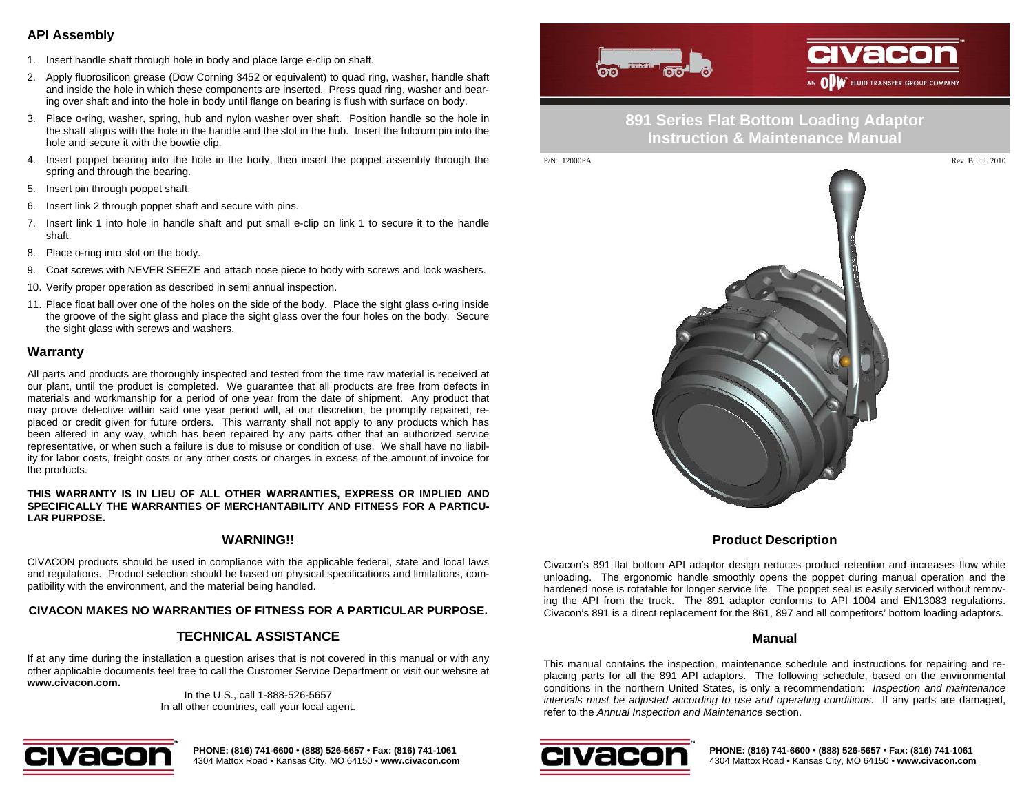## **API Assembly**

- 1. Insert handle shaft through hole in body and place large e-clip on shaft.
- 2. Apply fluorosilicon grease (Dow Corning 3452 or equivalent) to quad ring, washer, handle shaft and inside the hole in which these components are inserted. Press quad ring, washer and bearing over shaft and into the hole in body until flange on bearing is flush with surface on body.
- 3. Place o-ring, washer, spring, hub and nylon washer over shaft. Position handle so the hole in the shaft aligns with the hole in the handle and the slot in the hub. Insert the fulcrum pin into the hole and secure it with the bowtie clip.
- 4. Insert poppet bearing into the hole in the body, then insert the poppet assembly through the spring and through the bearing.
- 5. Insert pin through poppet shaft.
- 6. Insert link 2 through poppet shaft and secure with pins.
- 7. Insert link 1 into hole in handle shaft and put small e-clip on link 1 to secure it to the handle shaft.
- 8. Place o-ring into slot on the body.
- 9. Coat screws with NEVER SEEZE and attach nose piece to body with screws and lock washers.
- 10. Verify proper operation as described in semi annual inspection.
- 11. Place float ball over one of the holes on the side of the body. Place the sight glass o-ring inside the groove of the sight glass and place the sight glass over the four holes on the body. Secure the sight glass with screws and washers.

#### **Warranty**

All parts and products are thoroughly inspected and tested from the time raw material is received at our plant, until the product is completed. We guarantee that all products are free from defects in materials and workmanship for a period of one year from the date of shipment. Any product that may prove defective within said one year period will, at our discretion, be promptly repaired, replaced or credit given for future orders. This warranty shall not apply to any products which has been altered in any way, which has been repaired by any parts other that an authorized service representative, or when such a failure is due to misuse or condition of use. We shall have no liability for labor costs, freight costs or any other costs or charges in excess of the amount of invoice for the products.

#### **THIS WARRANTY IS IN LIEU OF ALL OTHER WARRANTIES, EXPRESS OR IMPLIED AND SPECIFICALLY THE WARRANTIES OF MERCHANTABILITY AND FITNESS FOR A PARTICU-LAR PURPOSE.**

#### **WARNING!!**

CIVACON products should be used in compliance with the applicable federal, state and local laws and regulations. Product selection should be based on physical specifications and limitations, compatibility with the environment, and the material being handled.

#### **CIVACON MAKES NO WARRANTIES OF FITNESS FOR A PARTICULAR PURPOSE.**

### **TECHNICAL ASSISTANCE**

If at any time during the installation a question arises that is not covered in this manual or with any other applicable documents feel free to call the Customer Service Department or visit our website at **www.civacon.com.**

In the U.S., call 1-888-526-5657 In all other countries, call your local agent.



**PHONE: (816) 741-6600 • (888) 526-5657 • Fax: (816) 741-1061**  4304 Mattox Road • Kansas City, MO 64150 • **www.civacon.com**



# **891 Series Flat Bottom Loading Adaptor Instruction & Maintenance Manual**



### **Product Description**

Civacon's 891 flat bottom API adaptor design reduces product retention and increases flow while unloading. The ergonomic handle smoothly opens the poppet during manual operation and the hardened nose is rotatable for longer service life. The poppet seal is easily serviced without removing the API from the truck. The 891 adaptor conforms to API 1004 and EN13083 regulations. Civacon's 891 is a direct replacement for the 861, 897 and all competitors' bottom loading adaptors.

#### **Manual**

This manual contains the inspection, maintenance schedule and instructions for repairing and replacing parts for all the 891 API adaptors. The following schedule, based on the environmental conditions in the northern United States, is only a recommendation: *Inspection and maintenance intervals must be adjusted according to use and operating conditions.* If any parts are damaged, refer to the *Annual Inspection and Maintenance* section.



**PHONE: (816) 741-6600 • (888) 526-5657 • Fax: (816) 741-1061**  4304 Mattox Road • Kansas City, MO 64150 • **www.civacon.com**